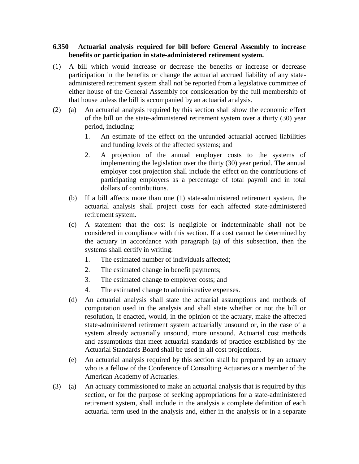## **6.350 Actuarial analysis required for bill before General Assembly to increase benefits or participation in state-administered retirement system.**

- (1) A bill which would increase or decrease the benefits or increase or decrease participation in the benefits or change the actuarial accrued liability of any stateadministered retirement system shall not be reported from a legislative committee of either house of the General Assembly for consideration by the full membership of that house unless the bill is accompanied by an actuarial analysis.
- (2) (a) An actuarial analysis required by this section shall show the economic effect of the bill on the state-administered retirement system over a thirty (30) year period, including:
	- 1. An estimate of the effect on the unfunded actuarial accrued liabilities and funding levels of the affected systems; and
	- 2. A projection of the annual employer costs to the systems of implementing the legislation over the thirty (30) year period. The annual employer cost projection shall include the effect on the contributions of participating employers as a percentage of total payroll and in total dollars of contributions.
	- (b) If a bill affects more than one (1) state-administered retirement system, the actuarial analysis shall project costs for each affected state-administered retirement system.
	- (c) A statement that the cost is negligible or indeterminable shall not be considered in compliance with this section. If a cost cannot be determined by the actuary in accordance with paragraph (a) of this subsection, then the systems shall certify in writing:
		- 1. The estimated number of individuals affected;
		- 2. The estimated change in benefit payments;
		- 3. The estimated change to employer costs; and
		- 4. The estimated change to administrative expenses.
	- (d) An actuarial analysis shall state the actuarial assumptions and methods of computation used in the analysis and shall state whether or not the bill or resolution, if enacted, would, in the opinion of the actuary, make the affected state-administered retirement system actuarially unsound or, in the case of a system already actuarially unsound, more unsound. Actuarial cost methods and assumptions that meet actuarial standards of practice established by the Actuarial Standards Board shall be used in all cost projections.
	- (e) An actuarial analysis required by this section shall be prepared by an actuary who is a fellow of the Conference of Consulting Actuaries or a member of the American Academy of Actuaries.
- (3) (a) An actuary commissioned to make an actuarial analysis that is required by this section, or for the purpose of seeking appropriations for a state-administered retirement system, shall include in the analysis a complete definition of each actuarial term used in the analysis and, either in the analysis or in a separate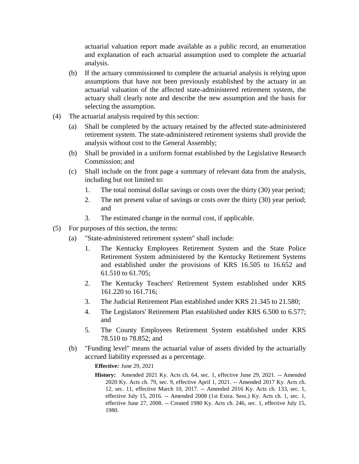actuarial valuation report made available as a public record, an enumeration and explanation of each actuarial assumption used to complete the actuarial analysis.

- (b) If the actuary commissioned to complete the actuarial analysis is relying upon assumptions that have not been previously established by the actuary in an actuarial valuation of the affected state-administered retirement system, the actuary shall clearly note and describe the new assumption and the basis for selecting the assumption.
- (4) The actuarial analysis required by this section:
	- (a) Shall be completed by the actuary retained by the affected state-administered retirement system. The state-administered retirement systems shall provide the analysis without cost to the General Assembly;
	- (b) Shall be provided in a uniform format established by the Legislative Research Commission; and
	- (c) Shall include on the front page a summary of relevant data from the analysis, including but not limited to:
		- 1. The total nominal dollar savings or costs over the thirty (30) year period;
		- 2. The net present value of savings or costs over the thirty (30) year period; and
		- 3. The estimated change in the normal cost, if applicable.
- (5) For purposes of this section, the terms:
	- (a) "State-administered retirement system" shall include:
		- 1. The Kentucky Employees Retirement System and the State Police Retirement System administered by the Kentucky Retirement Systems and established under the provisions of KRS 16.505 to 16.652 and 61.510 to 61.705;
		- 2. The Kentucky Teachers' Retirement System established under KRS 161.220 to 161.716;
		- 3. The Judicial Retirement Plan established under KRS 21.345 to 21.580;
		- 4. The Legislators' Retirement Plan established under KRS 6.500 to 6.577; and
		- 5. The County Employees Retirement System established under KRS 78.510 to 78.852; and
	- (b) "Funding level" means the actuarial value of assets divided by the actuarially accrued liability expressed as a percentage.

**Effective:** June 29, 2021

**History:** Amended 2021 Ky. Acts ch. 64, sec. 1, effective June 29, 2021. -- Amended 2020 Ky. Acts ch. 79, sec. 9, effective April 1, 2021. -- Amended 2017 Ky. Acts ch. 12, sec. 11, effective March 10, 2017. -- Amended 2016 Ky. Acts ch. 133, sec. 1, effective July 15, 2016. -- Amended 2008 (1st Extra. Sess.) Ky. Acts ch. 1, sec. 1, effective June 27, 2008. -- Created 1980 Ky. Acts ch. 246, sec. 1, effective July 15, 1980.